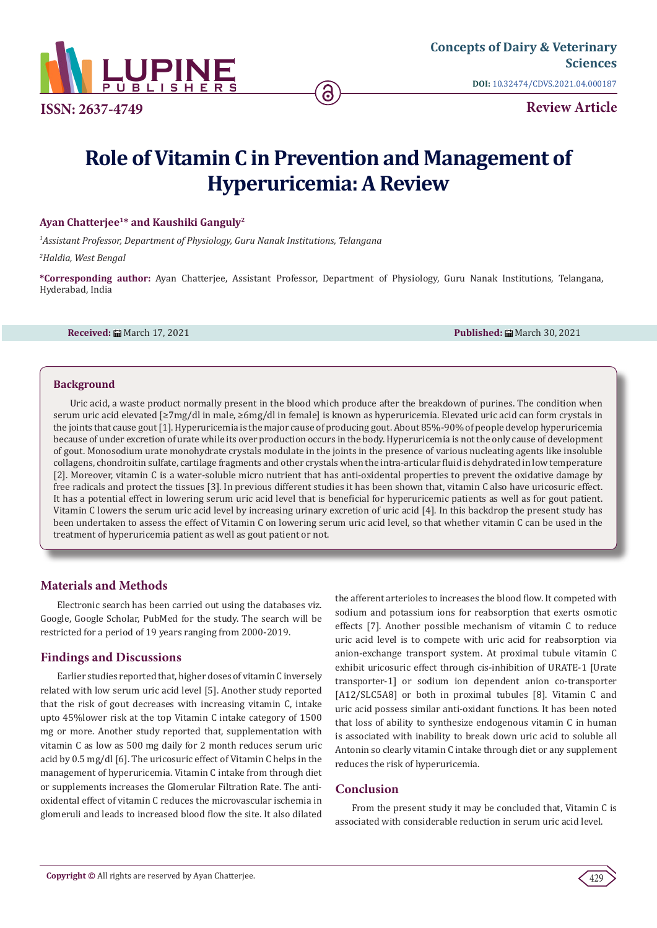

**DOI:** [10.32474/CDVS.2021.04.000187](http://dx.doi.org/10.32474/CDVS.2021.04.000187)

**Review Article**

# **Role of Vitamin C in Prevention and Management of Hyperuricemia: A Review**

#### **Ayan Chatterjee1\* and Kaushiki Ganguly2**

*1 Assistant Professor, Department of Physiology, Guru Nanak Institutions, Telangana*

*2 Haldia, West Bengal*

**\*Corresponding author:** Ayan Chatterjee, Assistant Professor, Department of Physiology, Guru Nanak Institutions, Telangana, Hyderabad, India

**Received:** March 17, 2021 **Published:** March 30, 2021

### **Background**

Uric acid, a waste product normally present in the blood which produce after the breakdown of purines. The condition when serum uric acid elevated [≥7mg/dl in male, ≥6mg/dl in female] is known as hyperuricemia. Elevated uric acid can form crystals in the joints that cause gout [1]. Hyperuricemia is the major cause of producing gout. About 85%-90% of people develop hyperuricemia because of under excretion of urate while its over production occurs in the body. Hyperuricemia is not the only cause of development of gout. Monosodium urate monohydrate crystals modulate in the joints in the presence of various nucleating agents like insoluble collagens, chondroitin sulfate, cartilage fragments and other crystals when the intra-articular fluid is dehydrated in low temperature [2]. Moreover, vitamin C is a water-soluble micro nutrient that has anti-oxidental properties to prevent the oxidative damage by free radicals and protect the tissues [3]. In previous different studies it has been shown that, vitamin C also have uricosuric effect. It has a potential effect in lowering serum uric acid level that is beneficial for hyperuricemic patients as well as for gout patient. Vitamin C lowers the serum uric acid level by increasing urinary excretion of uric acid [4]. In this backdrop the present study has been undertaken to assess the effect of Vitamin C on lowering serum uric acid level, so that whether vitamin C can be used in the treatment of hyperuricemia patient as well as gout patient or not.

# **Materials and Methods**

Electronic search has been carried out using the databases viz. Google, Google Scholar, PubMed for the study. The search will be restricted for a period of 19 years ranging from 2000-2019.

## **Findings and Discussions**

Earlier studies reported that, higher doses of vitamin C inversely related with low serum uric acid level [5]. Another study reported that the risk of gout decreases with increasing vitamin C, intake upto 45%lower risk at the top Vitamin C intake category of 1500 mg or more. Another study reported that, supplementation with vitamin C as low as 500 mg daily for 2 month reduces serum uric acid by 0.5 mg/dl [6]. The uricosuric effect of Vitamin C helps in the management of hyperuricemia. Vitamin C intake from through diet or supplements increases the Glomerular Filtration Rate. The antioxidental effect of vitamin C reduces the microvascular ischemia in glomeruli and leads to increased blood flow the site. It also dilated the afferent arterioles to increases the blood flow. It competed with sodium and potassium ions for reabsorption that exerts osmotic effects [7]. Another possible mechanism of vitamin C to reduce uric acid level is to compete with uric acid for reabsorption via anion-exchange transport system. At proximal tubule vitamin C exhibit uricosuric effect through cis-inhibition of URATE-1 [Urate transporter-1] or sodium ion dependent anion co-transporter [A12/SLC5A8] or both in proximal tubules [8]. Vitamin C and uric acid possess similar anti-oxidant functions. It has been noted that loss of ability to synthesize endogenous vitamin C in human is associated with inability to break down uric acid to soluble all Antonin so clearly vitamin C intake through diet or any supplement reduces the risk of hyperuricemia.

# **Conclusion**

From the present study it may be concluded that, Vitamin C is associated with considerable reduction in serum uric acid level.